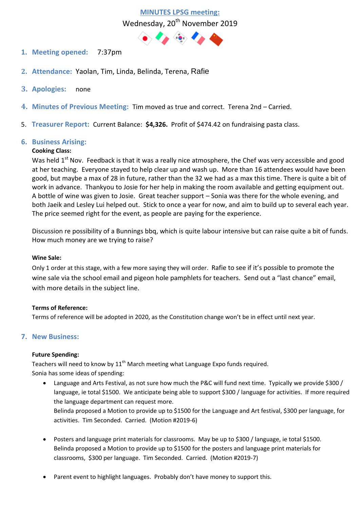# **MINUTES LPSG meeting:**  Wednesday, 20<sup>th</sup> November 2019



- **1. Meeting opened:** 7:37pm
- **2. Attendance:** Yaolan, Tim, Linda, Belinda, Terena, Rafie
- **3. Apologies:** none
- **4. Minutes of Previous Meeting:** Tim moved as true and correct. Terena 2nd Carried.
- 5. **Treasurer Report:** Current Balance: **\$4,326.** Profit of \$474.42 on fundraising pasta class.

# **6. Business Arising:**

# **Cooking Class:**

Was held  $1<sup>st</sup>$  Nov. Feedback is that it was a really nice atmosphere, the Chef was very accessible and good at her teaching. Everyone stayed to help clear up and wash up. More than 16 attendees would have been good, but maybe a max of 28 in future, rather than the 32 we had as a max this time. There is quite a bit of work in advance. Thankyou to Josie for her help in making the room available and getting equipment out. A bottle of wine was given to Josie. Great teacher support – Sonia was there for the whole evening, and both Jaeik and Lesley Lui helped out. Stick to once a year for now, and aim to build up to several each year. The price seemed right for the event, as people are paying for the experience.

Discussion re possibility of a Bunnings bbq, which is quite labour intensive but can raise quite a bit of funds. How much money are we trying to raise?

# **Wine Sale:**

Only 1 order at this stage, with a few more saying they will order. Rafie to see if it's possible to promote the wine sale via the school email and pigeon hole pamphlets for teachers. Send out a "last chance" email, with more details in the subject line.

# **Terms of Reference:**

Terms of reference will be adopted in 2020, as the Constitution change won't be in effect until next year.

# **7. New Business:**

# **Future Spending:**

Teachers will need to know by  $11<sup>th</sup>$  March meeting what Language Expo funds required. Sonia has some ideas of spending:

- Language and Arts Festival, as not sure how much the P&C will fund next time. Typically we provide \$300 / language, ie total \$1500. We anticipate being able to support \$300 / language for activities. If more required the language department can request more. Belinda proposed a Motion to provide up to \$1500 for the Language and Art festival, \$300 per language, for activities. Tim Seconded. Carried. (Motion #2019-6)
- Posters and language print materials for classrooms. May be up to \$300 / language, ie total \$1500. Belinda proposed a Motion to provide up to \$1500 for the posters and language print materials for classrooms, \$300 per language. Tim Seconded. Carried. (Motion #2019-7)
- Parent event to highlight languages. Probably don't have money to support this.